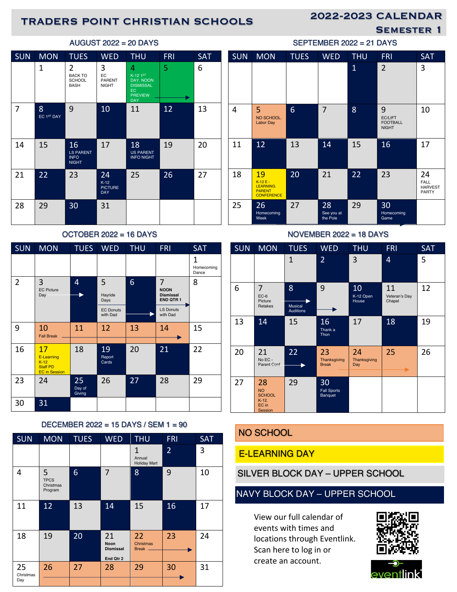# 2022-2023 CALENDAR TRADERS POINT CHRISTIAN SCHOOLS

SEMESTER 1

| <b>SUN</b> | <b>MON</b>      | <b>TUES</b>                                           | <b>WED</b>                                   | <b>THU</b>                                                                              | <b>FRI</b> | <b>SAT</b> |
|------------|-----------------|-------------------------------------------------------|----------------------------------------------|-----------------------------------------------------------------------------------------|------------|------------|
|            | 1               | 2<br><b>BACK TO</b><br><b>SCHOOL</b><br><b>BASH</b>   | 3<br>EC<br><b>PARENT</b><br><b>NIGHT</b>     | 4<br>$K-12$ 1st<br>DAY, NOON<br><b>DISMISSAL</b><br>EC.<br><b>PREVIEW</b><br><b>DAY</b> | 5          | 6          |
| 7          | 8<br>EC 1ST DAY | 9                                                     | 10                                           | 11                                                                                      | 12         | 13         |
| 14         | 15              | 16<br><b>LS PARENT</b><br><b>INFO</b><br><b>NIGHT</b> | 17                                           | 18<br><b>US PARENT</b><br><b>INFO NIGHT</b>                                             | 19         | 20         |
| 21         | 22              | 23                                                    | 24<br>$K-12$<br><b>PICTURE</b><br><b>DAY</b> | 25                                                                                      | 26         | 27         |
| 28         | 29              | 30                                                    | 31                                           |                                                                                         |            |            |

### OCTOBER 2022 = 16 DAYS

| <b>SUN</b>     | <b>MON</b>                                                            | <b>TUES</b>            | <b>WED</b>                               | <b>THU</b> | <b>FRI</b>                                                                  | <b>SAT</b>               |
|----------------|-----------------------------------------------------------------------|------------------------|------------------------------------------|------------|-----------------------------------------------------------------------------|--------------------------|
|                |                                                                       |                        |                                          |            |                                                                             | 1<br>Homecoming<br>Dance |
| $\overline{2}$ | 3<br><b>EC Picture</b><br>Day                                         | 4                      | 5<br>Hayride<br>Days<br><b>EC Donuts</b> | 6          | 7<br><b>NOON</b><br><b>Dismissal</b><br><b>END QTR1</b><br><b>LS Donuts</b> | 8                        |
|                |                                                                       |                        | with Dad                                 |            | with Dad                                                                    |                          |
| 9              | 10<br><b>Fall Break</b>                                               | 11                     | 12                                       | 13         | 14                                                                          | 15                       |
| 16             | 17<br>E-Learning<br>$K-12$<br><b>Staff PD</b><br><b>EC</b> in Session | 18                     | 19<br>Report<br>Cards                    | 20         | 21                                                                          | 22                       |
| 23             | 24                                                                    | 25<br>Day of<br>Giving | 26                                       | 27         | 28                                                                          | 29                       |
| 30             | 31                                                                    |                        |                                          |            |                                                                             |                          |

### DECEMBER 2022 = 15 DAYS / SEM 1 = 90

| <b>SUN</b>             | <b>MON</b>                               | <b>TUES</b> | <b>WED</b>                                         | <b>THU</b>                                    | <b>FRI</b>     | <b>SAT</b> |
|------------------------|------------------------------------------|-------------|----------------------------------------------------|-----------------------------------------------|----------------|------------|
|                        |                                          |             |                                                    | $\mathbf{1}$<br>Annual<br><b>Holiday Mart</b> | $\overline{2}$ | 3          |
| 4                      | 5<br><b>TPCS</b><br>Christmas<br>Program | 6           | 7                                                  | 8                                             | 9              | 10         |
| 11                     | 12                                       | 13          | 14                                                 | 15                                            | 16             | 17         |
| 18                     | 19                                       | 20          | 21<br><b>Noon</b><br><b>Dismissal</b><br>End Qtr 2 | 22<br>Christmas<br>Break.                     | 23             | 24         |
| 25<br>Christmas<br>Day | 26                                       | 27          | 28                                                 | 29                                            | 30             | 31         |

| <b>SUN</b> | <b>MON</b>                                                        | <b>TUES</b> | <b>WED</b>                   | <b>THU</b>     | <b>FRI</b>                                      | SAT                                          |
|------------|-------------------------------------------------------------------|-------------|------------------------------|----------------|-------------------------------------------------|----------------------------------------------|
|            |                                                                   |             |                              | $\overline{1}$ | $\overline{2}$                                  | 3                                            |
| 4          | 5<br>NO SCHOOL.<br><b>Labor Day</b>                               | 6           | $\overline{7}$               | 8              | 9<br>EC/LIFT<br><b>FOOTBALL</b><br><b>NIGHT</b> | 10                                           |
| 11         | 12                                                                | 13          | 14                           | 15             | 16                                              | 17                                           |
| 18         | 19<br>$K-12F-$<br>LEARNING.<br><b>PARENT</b><br><b>CONFERENCE</b> | 20          | 21                           | 22             | 23                                              | 24<br>FALL<br><b>HARVEST</b><br><b>PARTY</b> |
| 25         | 26<br>Homecoming<br>Week                                          | 27          | 28<br>See you at<br>the Pole | 29             | 30<br>Homecoming<br>Game                        |                                              |

 $SEPTEMBER 2022 = 21$  DAYS

| NOVEMBER $2022 = 18$ DAYS |                                                                 |                                         |                                     |                           |                               |            |  |
|---------------------------|-----------------------------------------------------------------|-----------------------------------------|-------------------------------------|---------------------------|-------------------------------|------------|--|
| <b>SUN</b>                | <b>MON</b>                                                      | <b>TUES</b>                             | <b>WED</b>                          | <b>THU</b>                | <b>FRI</b>                    | <b>SAT</b> |  |
|                           |                                                                 | 1                                       | $\overline{2}$                      | 3                         | 4                             | 5          |  |
| 6                         | 7<br>$EC-6$<br>Picture<br>Retakes                               | 8<br><b>Musical</b><br><b>Auditions</b> | 9                                   | 10<br>K-12 Open<br>House  | 11<br>Veteran's Day<br>Chapel | 12         |  |
| 13                        | 14                                                              | 15                                      | 16<br>Thank a<br>Thon               | 17                        | 18                            | 19         |  |
| 20                        | 21<br>$No EC -$<br>Parent Conf                                  | 22                                      | 23<br>Thanksgiving<br><b>Break</b>  | 24<br>Thanksgiving<br>Day | 25                            | 26         |  |
| 27                        | 28<br><b>NO</b><br><b>SCHOOL</b><br>$K-12.$<br>EC in<br>Session | 29                                      | 30<br><b>Fall Sports</b><br>Banquet |                           |                               |            |  |

# NO SCHOOL

### E-LEARNING DAY

SILVER BLOCK DAY – UPPER SCHOOL

## NAVY BLOCK DAY – UPPER SCHOOL

View our full calendar of events with times and locations through Eventlink. Scan here to log in or create an account.